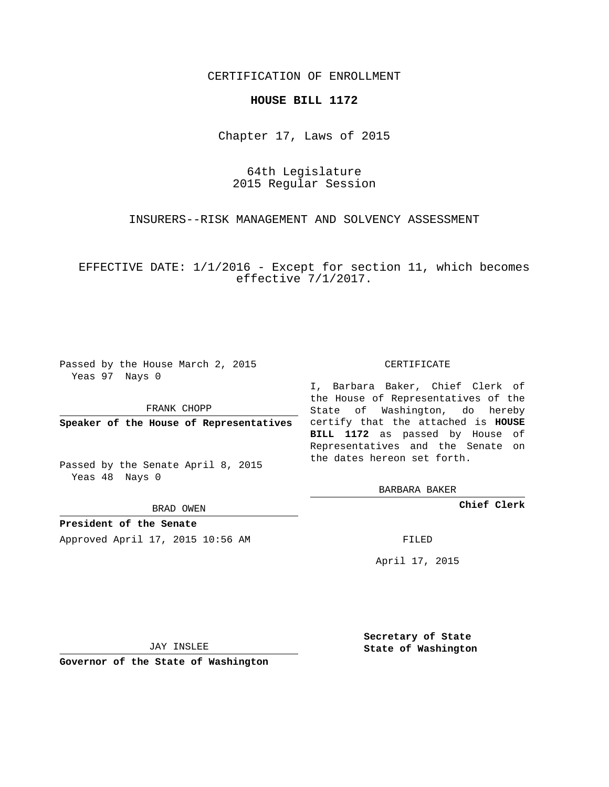## CERTIFICATION OF ENROLLMENT

## **HOUSE BILL 1172**

Chapter 17, Laws of 2015

64th Legislature 2015 Regular Session

INSURERS--RISK MANAGEMENT AND SOLVENCY ASSESSMENT

EFFECTIVE DATE: 1/1/2016 - Except for section 11, which becomes effective 7/1/2017.

Passed by the House March 2, 2015 Yeas 97 Nays 0

FRANK CHOPP

Passed by the Senate April 8, 2015 Yeas 48 Nays 0

BRAD OWEN

**President of the Senate**

Approved April 17, 2015 10:56 AM FILED

## CERTIFICATE

**Speaker of the House of Representatives** certify that the attached is **HOUSE** I, Barbara Baker, Chief Clerk of the House of Representatives of the State of Washington, do hereby **BILL 1172** as passed by House of Representatives and the Senate on the dates hereon set forth.

BARBARA BAKER

**Chief Clerk**

April 17, 2015

JAY INSLEE

**Governor of the State of Washington**

**Secretary of State State of Washington**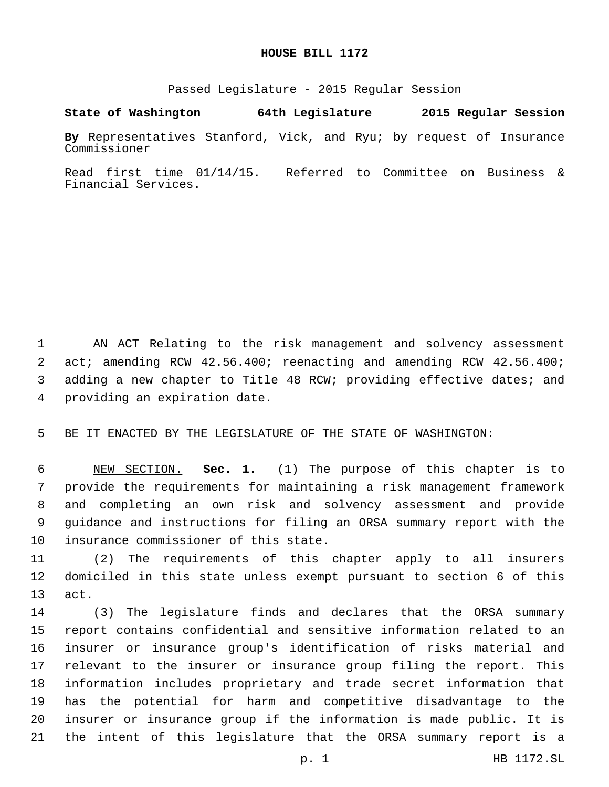## **HOUSE BILL 1172**

Passed Legislature - 2015 Regular Session

**State of Washington 64th Legislature 2015 Regular Session**

**By** Representatives Stanford, Vick, and Ryu; by request of Insurance Commissioner

Read first time 01/14/15. Referred to Committee on Business & Financial Services.

 AN ACT Relating to the risk management and solvency assessment act; amending RCW 42.56.400; reenacting and amending RCW 42.56.400; adding a new chapter to Title 48 RCW; providing effective dates; and 4 providing an expiration date.

BE IT ENACTED BY THE LEGISLATURE OF THE STATE OF WASHINGTON:

 NEW SECTION. **Sec. 1.** (1) The purpose of this chapter is to provide the requirements for maintaining a risk management framework and completing an own risk and solvency assessment and provide guidance and instructions for filing an ORSA summary report with the insurance commissioner of this state.

 (2) The requirements of this chapter apply to all insurers domiciled in this state unless exempt pursuant to section 6 of this 13 act.

 (3) The legislature finds and declares that the ORSA summary report contains confidential and sensitive information related to an insurer or insurance group's identification of risks material and relevant to the insurer or insurance group filing the report. This information includes proprietary and trade secret information that has the potential for harm and competitive disadvantage to the insurer or insurance group if the information is made public. It is the intent of this legislature that the ORSA summary report is a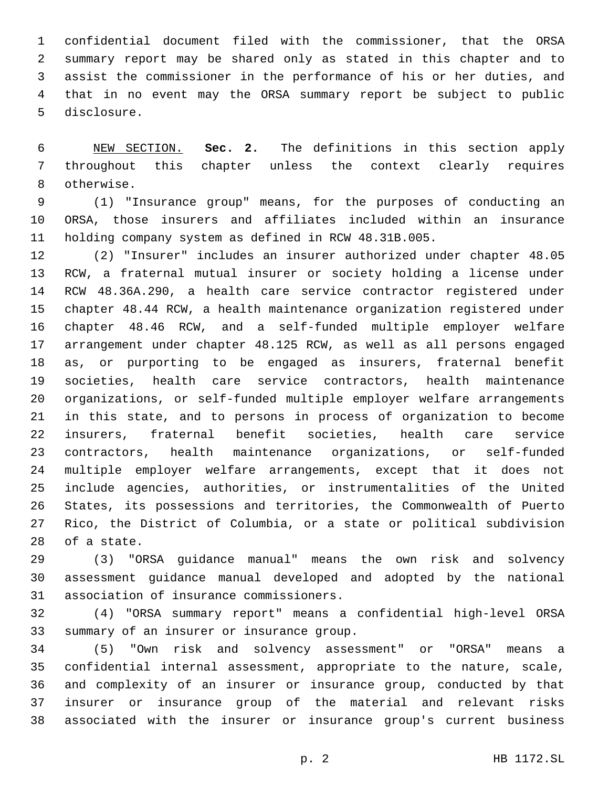confidential document filed with the commissioner, that the ORSA summary report may be shared only as stated in this chapter and to assist the commissioner in the performance of his or her duties, and that in no event may the ORSA summary report be subject to public 5 disclosure.

 NEW SECTION. **Sec. 2.** The definitions in this section apply throughout this chapter unless the context clearly requires otherwise.

 (1) "Insurance group" means, for the purposes of conducting an ORSA, those insurers and affiliates included within an insurance holding company system as defined in RCW 48.31B.005.

 (2) "Insurer" includes an insurer authorized under chapter 48.05 RCW, a fraternal mutual insurer or society holding a license under RCW 48.36A.290, a health care service contractor registered under chapter 48.44 RCW, a health maintenance organization registered under chapter 48.46 RCW, and a self-funded multiple employer welfare arrangement under chapter 48.125 RCW, as well as all persons engaged as, or purporting to be engaged as insurers, fraternal benefit societies, health care service contractors, health maintenance organizations, or self-funded multiple employer welfare arrangements in this state, and to persons in process of organization to become insurers, fraternal benefit societies, health care service contractors, health maintenance organizations, or self-funded multiple employer welfare arrangements, except that it does not include agencies, authorities, or instrumentalities of the United States, its possessions and territories, the Commonwealth of Puerto Rico, the District of Columbia, or a state or political subdivision 28 of a state.

 (3) "ORSA guidance manual" means the own risk and solvency assessment guidance manual developed and adopted by the national 31 association of insurance commissioners.

 (4) "ORSA summary report" means a confidential high-level ORSA 33 summary of an insurer or insurance group.

 (5) "Own risk and solvency assessment" or "ORSA" means a confidential internal assessment, appropriate to the nature, scale, and complexity of an insurer or insurance group, conducted by that insurer or insurance group of the material and relevant risks associated with the insurer or insurance group's current business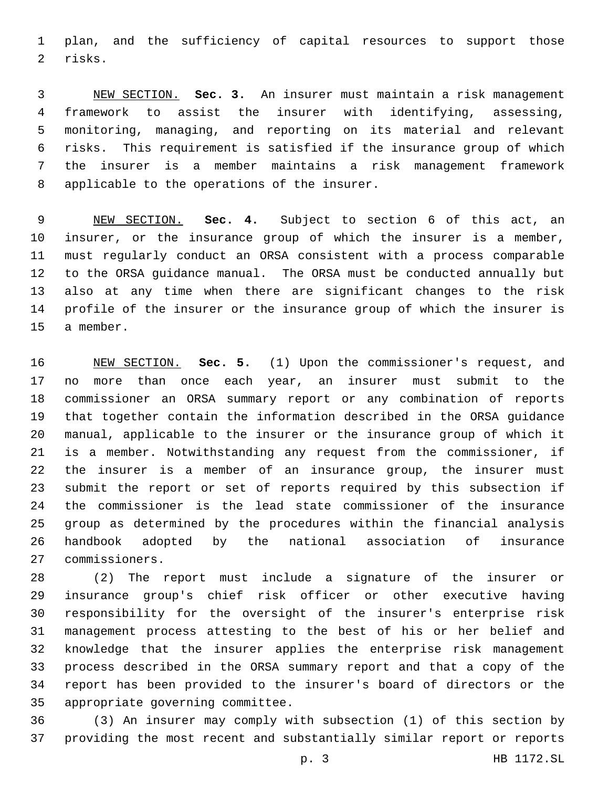plan, and the sufficiency of capital resources to support those 2 risks.

 NEW SECTION. **Sec. 3.** An insurer must maintain a risk management framework to assist the insurer with identifying, assessing, monitoring, managing, and reporting on its material and relevant risks. This requirement is satisfied if the insurance group of which the insurer is a member maintains a risk management framework applicable to the operations of the insurer.

 NEW SECTION. **Sec. 4.** Subject to section 6 of this act, an insurer, or the insurance group of which the insurer is a member, must regularly conduct an ORSA consistent with a process comparable to the ORSA guidance manual. The ORSA must be conducted annually but also at any time when there are significant changes to the risk profile of the insurer or the insurance group of which the insurer is a member.

 NEW SECTION. **Sec. 5.** (1) Upon the commissioner's request, and no more than once each year, an insurer must submit to the commissioner an ORSA summary report or any combination of reports that together contain the information described in the ORSA guidance manual, applicable to the insurer or the insurance group of which it is a member. Notwithstanding any request from the commissioner, if the insurer is a member of an insurance group, the insurer must submit the report or set of reports required by this subsection if the commissioner is the lead state commissioner of the insurance group as determined by the procedures within the financial analysis handbook adopted by the national association of insurance commissioners.

 (2) The report must include a signature of the insurer or insurance group's chief risk officer or other executive having responsibility for the oversight of the insurer's enterprise risk management process attesting to the best of his or her belief and knowledge that the insurer applies the enterprise risk management process described in the ORSA summary report and that a copy of the report has been provided to the insurer's board of directors or the 35 appropriate governing committee.

 (3) An insurer may comply with subsection (1) of this section by providing the most recent and substantially similar report or reports

p. 3 HB 1172.SL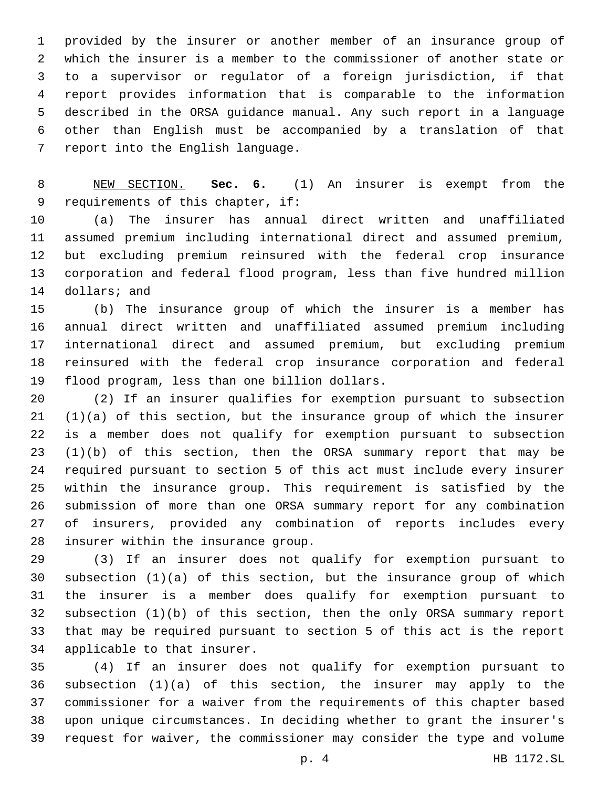provided by the insurer or another member of an insurance group of which the insurer is a member to the commissioner of another state or to a supervisor or regulator of a foreign jurisdiction, if that report provides information that is comparable to the information described in the ORSA guidance manual. Any such report in a language other than English must be accompanied by a translation of that 7 report into the English language.

 NEW SECTION. **Sec. 6.** (1) An insurer is exempt from the requirements of this chapter, if:

 (a) The insurer has annual direct written and unaffiliated assumed premium including international direct and assumed premium, but excluding premium reinsured with the federal crop insurance corporation and federal flood program, less than five hundred million 14 dollars; and

 (b) The insurance group of which the insurer is a member has annual direct written and unaffiliated assumed premium including international direct and assumed premium, but excluding premium reinsured with the federal crop insurance corporation and federal 19 flood program, less than one billion dollars.

 (2) If an insurer qualifies for exemption pursuant to subsection (1)(a) of this section, but the insurance group of which the insurer is a member does not qualify for exemption pursuant to subsection (1)(b) of this section, then the ORSA summary report that may be required pursuant to section 5 of this act must include every insurer within the insurance group. This requirement is satisfied by the submission of more than one ORSA summary report for any combination of insurers, provided any combination of reports includes every 28 insurer within the insurance group.

 (3) If an insurer does not qualify for exemption pursuant to subsection (1)(a) of this section, but the insurance group of which the insurer is a member does qualify for exemption pursuant to subsection (1)(b) of this section, then the only ORSA summary report that may be required pursuant to section 5 of this act is the report 34 applicable to that insurer.

 (4) If an insurer does not qualify for exemption pursuant to subsection (1)(a) of this section, the insurer may apply to the commissioner for a waiver from the requirements of this chapter based upon unique circumstances. In deciding whether to grant the insurer's request for waiver, the commissioner may consider the type and volume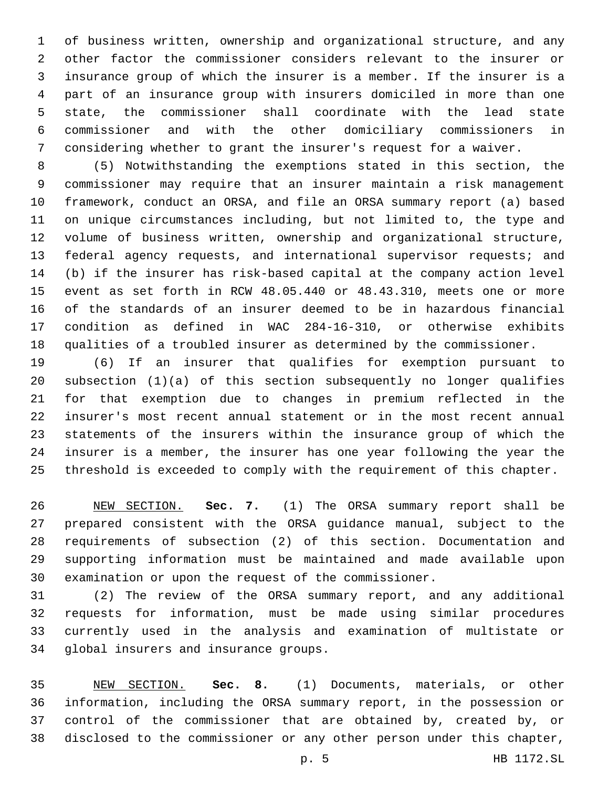of business written, ownership and organizational structure, and any other factor the commissioner considers relevant to the insurer or insurance group of which the insurer is a member. If the insurer is a part of an insurance group with insurers domiciled in more than one state, the commissioner shall coordinate with the lead state commissioner and with the other domiciliary commissioners in considering whether to grant the insurer's request for a waiver.

 (5) Notwithstanding the exemptions stated in this section, the commissioner may require that an insurer maintain a risk management framework, conduct an ORSA, and file an ORSA summary report (a) based on unique circumstances including, but not limited to, the type and volume of business written, ownership and organizational structure, federal agency requests, and international supervisor requests; and (b) if the insurer has risk-based capital at the company action level event as set forth in RCW 48.05.440 or 48.43.310, meets one or more of the standards of an insurer deemed to be in hazardous financial condition as defined in WAC 284-16-310, or otherwise exhibits qualities of a troubled insurer as determined by the commissioner.

 (6) If an insurer that qualifies for exemption pursuant to subsection (1)(a) of this section subsequently no longer qualifies for that exemption due to changes in premium reflected in the insurer's most recent annual statement or in the most recent annual statements of the insurers within the insurance group of which the insurer is a member, the insurer has one year following the year the threshold is exceeded to comply with the requirement of this chapter.

 NEW SECTION. **Sec. 7.** (1) The ORSA summary report shall be prepared consistent with the ORSA guidance manual, subject to the requirements of subsection (2) of this section. Documentation and supporting information must be maintained and made available upon examination or upon the request of the commissioner.

 (2) The review of the ORSA summary report, and any additional requests for information, must be made using similar procedures currently used in the analysis and examination of multistate or 34 global insurers and insurance groups.

 NEW SECTION. **Sec. 8.** (1) Documents, materials, or other information, including the ORSA summary report, in the possession or control of the commissioner that are obtained by, created by, or disclosed to the commissioner or any other person under this chapter,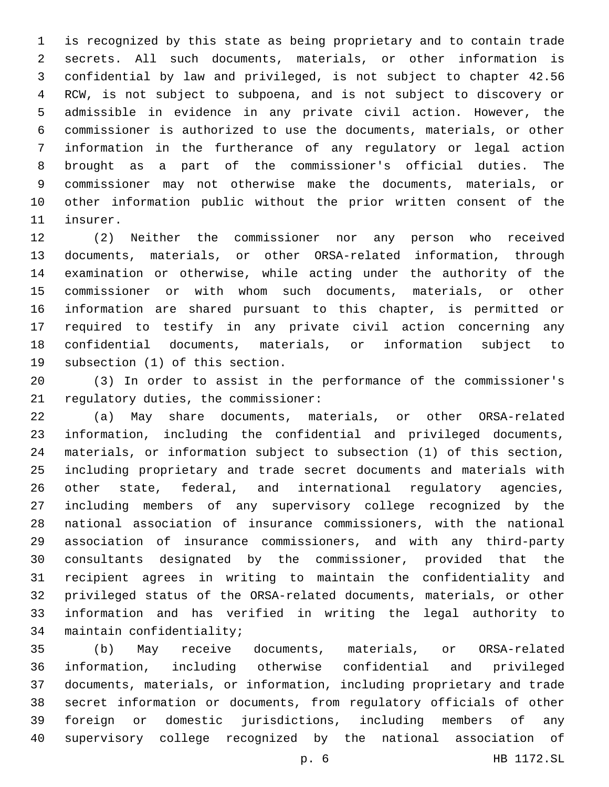is recognized by this state as being proprietary and to contain trade secrets. All such documents, materials, or other information is confidential by law and privileged, is not subject to chapter 42.56 RCW, is not subject to subpoena, and is not subject to discovery or admissible in evidence in any private civil action. However, the commissioner is authorized to use the documents, materials, or other information in the furtherance of any regulatory or legal action brought as a part of the commissioner's official duties. The commissioner may not otherwise make the documents, materials, or other information public without the prior written consent of the 11 insurer.

 (2) Neither the commissioner nor any person who received documents, materials, or other ORSA-related information, through examination or otherwise, while acting under the authority of the commissioner or with whom such documents, materials, or other information are shared pursuant to this chapter, is permitted or required to testify in any private civil action concerning any confidential documents, materials, or information subject to 19 subsection (1) of this section.

 (3) In order to assist in the performance of the commissioner's 21 regulatory duties, the commissioner:

 (a) May share documents, materials, or other ORSA-related information, including the confidential and privileged documents, materials, or information subject to subsection (1) of this section, including proprietary and trade secret documents and materials with other state, federal, and international regulatory agencies, including members of any supervisory college recognized by the national association of insurance commissioners, with the national association of insurance commissioners, and with any third-party consultants designated by the commissioner, provided that the recipient agrees in writing to maintain the confidentiality and privileged status of the ORSA-related documents, materials, or other information and has verified in writing the legal authority to 34 maintain confidentiality;

 (b) May receive documents, materials, or ORSA-related information, including otherwise confidential and privileged documents, materials, or information, including proprietary and trade secret information or documents, from regulatory officials of other foreign or domestic jurisdictions, including members of any supervisory college recognized by the national association of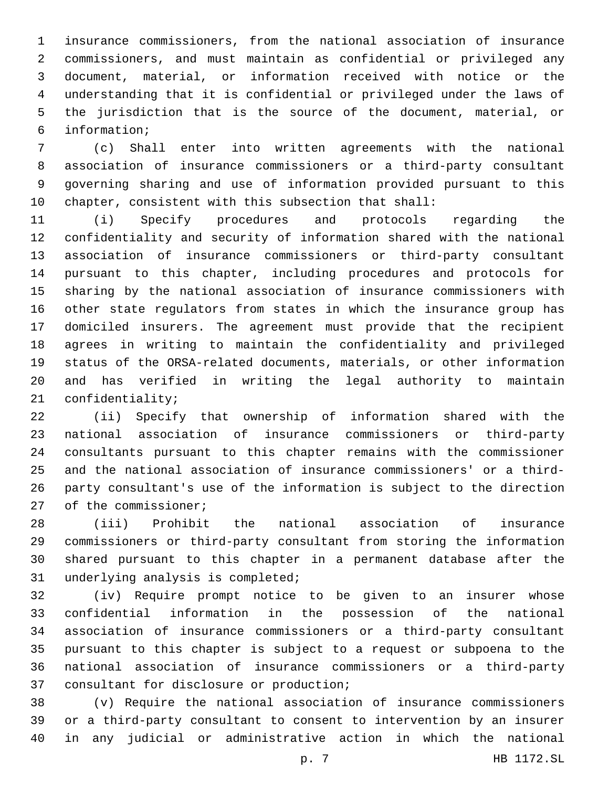insurance commissioners, from the national association of insurance commissioners, and must maintain as confidential or privileged any document, material, or information received with notice or the understanding that it is confidential or privileged under the laws of the jurisdiction that is the source of the document, material, or information;6

 (c) Shall enter into written agreements with the national association of insurance commissioners or a third-party consultant governing sharing and use of information provided pursuant to this chapter, consistent with this subsection that shall:

 (i) Specify procedures and protocols regarding the confidentiality and security of information shared with the national association of insurance commissioners or third-party consultant pursuant to this chapter, including procedures and protocols for sharing by the national association of insurance commissioners with other state regulators from states in which the insurance group has domiciled insurers. The agreement must provide that the recipient agrees in writing to maintain the confidentiality and privileged status of the ORSA-related documents, materials, or other information and has verified in writing the legal authority to maintain 21 confidentiality;

 (ii) Specify that ownership of information shared with the national association of insurance commissioners or third-party consultants pursuant to this chapter remains with the commissioner and the national association of insurance commissioners' or a third- party consultant's use of the information is subject to the direction 27 of the commissioner;

 (iii) Prohibit the national association of insurance commissioners or third-party consultant from storing the information shared pursuant to this chapter in a permanent database after the 31 underlying analysis is completed;

 (iv) Require prompt notice to be given to an insurer whose confidential information in the possession of the national association of insurance commissioners or a third-party consultant pursuant to this chapter is subject to a request or subpoena to the national association of insurance commissioners or a third-party 37 consultant for disclosure or production;

 (v) Require the national association of insurance commissioners or a third-party consultant to consent to intervention by an insurer in any judicial or administrative action in which the national

p. 7 HB 1172.SL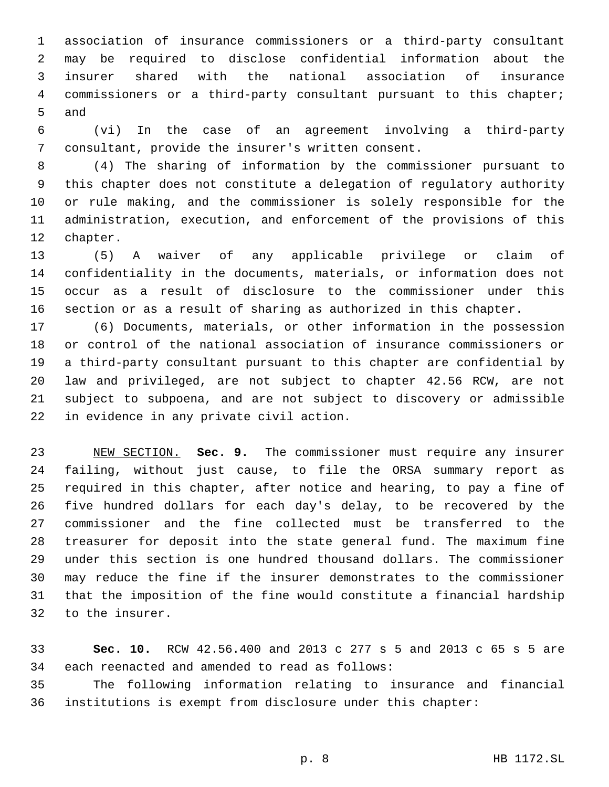association of insurance commissioners or a third-party consultant may be required to disclose confidential information about the insurer shared with the national association of insurance commissioners or a third-party consultant pursuant to this chapter; 5 and

 (vi) In the case of an agreement involving a third-party 7 consultant, provide the insurer's written consent.

 (4) The sharing of information by the commissioner pursuant to this chapter does not constitute a delegation of regulatory authority or rule making, and the commissioner is solely responsible for the administration, execution, and enforcement of the provisions of this 12 chapter.

 (5) A waiver of any applicable privilege or claim of confidentiality in the documents, materials, or information does not occur as a result of disclosure to the commissioner under this section or as a result of sharing as authorized in this chapter.

 (6) Documents, materials, or other information in the possession or control of the national association of insurance commissioners or a third-party consultant pursuant to this chapter are confidential by law and privileged, are not subject to chapter 42.56 RCW, are not subject to subpoena, and are not subject to discovery or admissible 22 in evidence in any private civil action.

 NEW SECTION. **Sec. 9.** The commissioner must require any insurer failing, without just cause, to file the ORSA summary report as required in this chapter, after notice and hearing, to pay a fine of five hundred dollars for each day's delay, to be recovered by the commissioner and the fine collected must be transferred to the treasurer for deposit into the state general fund. The maximum fine under this section is one hundred thousand dollars. The commissioner may reduce the fine if the insurer demonstrates to the commissioner that the imposition of the fine would constitute a financial hardship to the insurer.

 **Sec. 10.** RCW 42.56.400 and 2013 c 277 s 5 and 2013 c 65 s 5 are 34 each reenacted and amended to read as follows:

 The following information relating to insurance and financial institutions is exempt from disclosure under this chapter: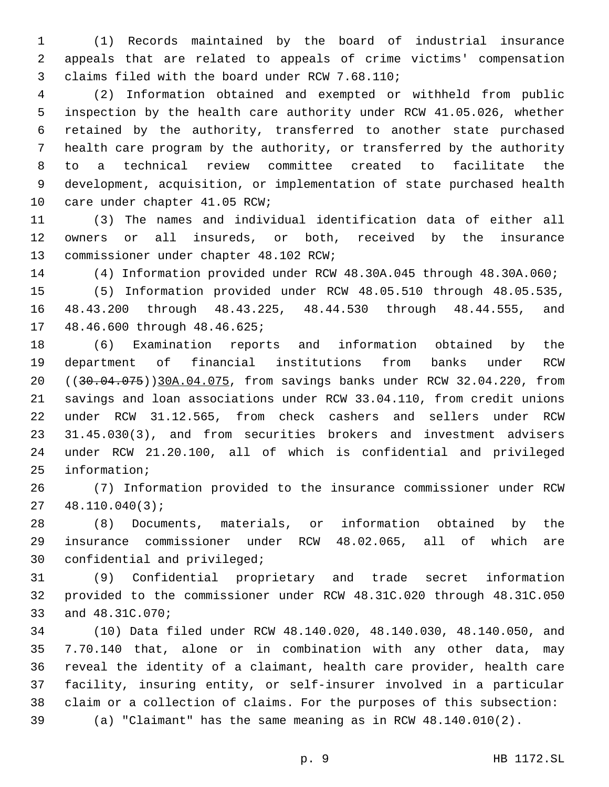(1) Records maintained by the board of industrial insurance appeals that are related to appeals of crime victims' compensation 3 claims filed with the board under RCW 7.68.110;

 (2) Information obtained and exempted or withheld from public inspection by the health care authority under RCW 41.05.026, whether retained by the authority, transferred to another state purchased health care program by the authority, or transferred by the authority to a technical review committee created to facilitate the development, acquisition, or implementation of state purchased health 10 care under chapter 41.05 RCW;

 (3) The names and individual identification data of either all owners or all insureds, or both, received by the insurance 13 commissioner under chapter 48.102 RCW;

(4) Information provided under RCW 48.30A.045 through 48.30A.060;

 (5) Information provided under RCW 48.05.510 through 48.05.535, 48.43.200 through 48.43.225, 48.44.530 through 48.44.555, and 17 48.46.600 through 48.46.625;

 (6) Examination reports and information obtained by the department of financial institutions from banks under RCW ((30.04.075))30A.04.075, from savings banks under RCW 32.04.220, from savings and loan associations under RCW 33.04.110, from credit unions under RCW 31.12.565, from check cashers and sellers under RCW 31.45.030(3), and from securities brokers and investment advisers under RCW 21.20.100, all of which is confidential and privileged 25 information;

 (7) Information provided to the insurance commissioner under RCW  $27 \quad 48.110.040(3);$ 

 (8) Documents, materials, or information obtained by the insurance commissioner under RCW 48.02.065, all of which are 30 confidential and privileged;

 (9) Confidential proprietary and trade secret information provided to the commissioner under RCW 48.31C.020 through 48.31C.050 33 and 48.31C.070;

 (10) Data filed under RCW 48.140.020, 48.140.030, 48.140.050, and 7.70.140 that, alone or in combination with any other data, may reveal the identity of a claimant, health care provider, health care facility, insuring entity, or self-insurer involved in a particular claim or a collection of claims. For the purposes of this subsection: (a) "Claimant" has the same meaning as in RCW 48.140.010(2).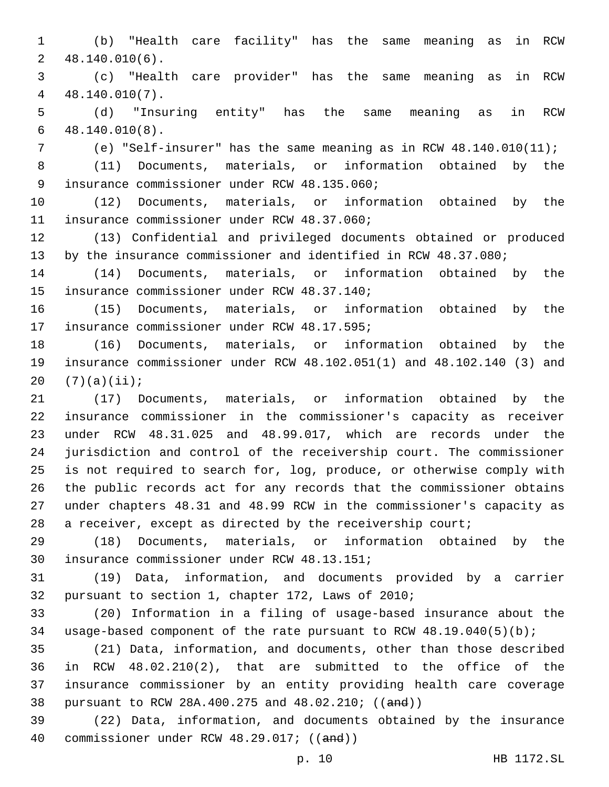(b) "Health care facility" has the same meaning as in RCW  $2, 48.140.010(6)$ .

 (c) "Health care provider" has the same meaning as in RCW 48.140.010(7).4

 (d) "Insuring entity" has the same meaning as in RCW  $48.140.010(8)$ .

(e) "Self-insurer" has the same meaning as in RCW 48.140.010(11);

 (11) Documents, materials, or information obtained by the 9 insurance commissioner under RCW 48.135.060;

 (12) Documents, materials, or information obtained by the 11 insurance commissioner under RCW 48.37.060;

 (13) Confidential and privileged documents obtained or produced by the insurance commissioner and identified in RCW 48.37.080;

 (14) Documents, materials, or information obtained by the 15 insurance commissioner under RCW 48.37.140;

 (15) Documents, materials, or information obtained by the 17 insurance commissioner under RCW 48.17.595;

 (16) Documents, materials, or information obtained by the insurance commissioner under RCW 48.102.051(1) and 48.102.140 (3) and 20  $(7)(a)(ii);$ 

 (17) Documents, materials, or information obtained by the insurance commissioner in the commissioner's capacity as receiver under RCW 48.31.025 and 48.99.017, which are records under the jurisdiction and control of the receivership court. The commissioner is not required to search for, log, produce, or otherwise comply with the public records act for any records that the commissioner obtains under chapters 48.31 and 48.99 RCW in the commissioner's capacity as 28 a receiver, except as directed by the receivership court;

 (18) Documents, materials, or information obtained by the 30 insurance commissioner under RCW 48.13.151;

 (19) Data, information, and documents provided by a carrier 32 pursuant to section 1, chapter 172, Laws of 2010;

 (20) Information in a filing of usage-based insurance about the usage-based component of the rate pursuant to RCW 48.19.040(5)(b);

 (21) Data, information, and documents, other than those described in RCW 48.02.210(2), that are submitted to the office of the insurance commissioner by an entity providing health care coverage pursuant to RCW 28A.400.275 and 48.02.210; ((and))

 (22) Data, information, and documents obtained by the insurance 40 commissioner under RCW 48.29.017; ((and))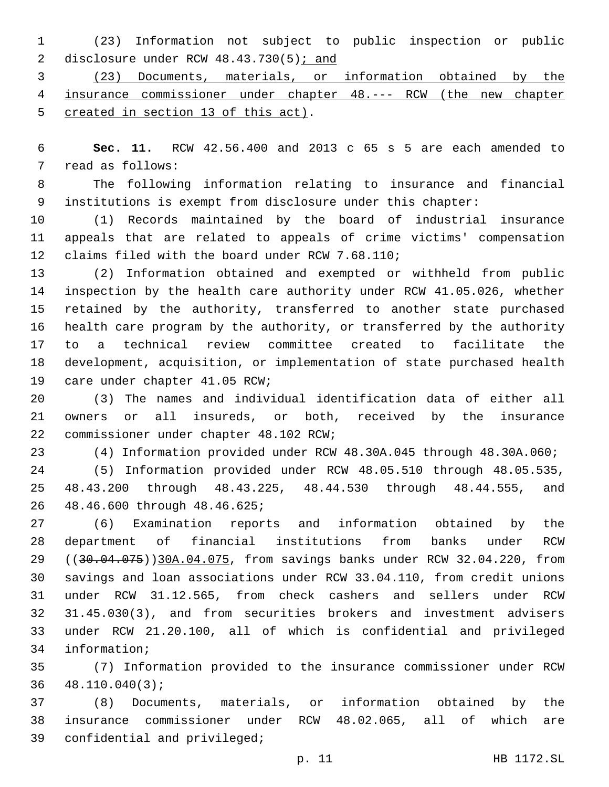(23) Information not subject to public inspection or public 2 disclosure under RCW 48.43.730(5); and

 (23) Documents, materials, or information obtained by the insurance commissioner under chapter 48.--- RCW (the new chapter 5 created in section 13 of this act).

 **Sec. 11.** RCW 42.56.400 and 2013 c 65 s 5 are each amended to 7 read as follows:

 The following information relating to insurance and financial institutions is exempt from disclosure under this chapter:

 (1) Records maintained by the board of industrial insurance appeals that are related to appeals of crime victims' compensation 12 claims filed with the board under RCW 7.68.110;

 (2) Information obtained and exempted or withheld from public inspection by the health care authority under RCW 41.05.026, whether retained by the authority, transferred to another state purchased health care program by the authority, or transferred by the authority to a technical review committee created to facilitate the development, acquisition, or implementation of state purchased health 19 care under chapter 41.05 RCW;

 (3) The names and individual identification data of either all owners or all insureds, or both, received by the insurance 22 commissioner under chapter 48.102 RCW;

(4) Information provided under RCW 48.30A.045 through 48.30A.060;

 (5) Information provided under RCW 48.05.510 through 48.05.535, 48.43.200 through 48.43.225, 48.44.530 through 48.44.555, and 48.46.600 through 48.46.625;26

 (6) Examination reports and information obtained by the department of financial institutions from banks under RCW 29 ((30.04.075))30A.04.075, from savings banks under RCW 32.04.220, from savings and loan associations under RCW 33.04.110, from credit unions under RCW 31.12.565, from check cashers and sellers under RCW 31.45.030(3), and from securities brokers and investment advisers under RCW 21.20.100, all of which is confidential and privileged 34 information;

 (7) Information provided to the insurance commissioner under RCW  $36 \quad 48.110.040(3);$ 

 (8) Documents, materials, or information obtained by the insurance commissioner under RCW 48.02.065, all of which are 39 confidential and privileged;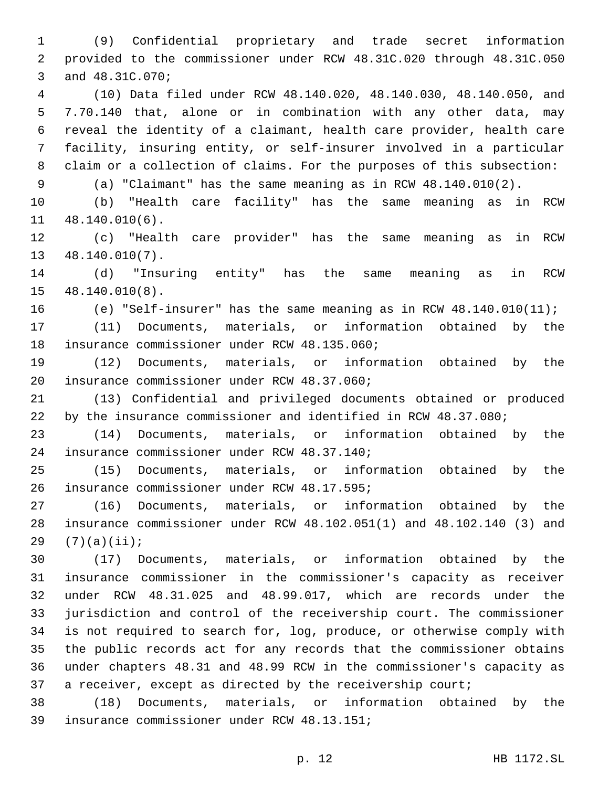(9) Confidential proprietary and trade secret information provided to the commissioner under RCW 48.31C.020 through 48.31C.050 3 and 48.31C.070;

 (10) Data filed under RCW 48.140.020, 48.140.030, 48.140.050, and 7.70.140 that, alone or in combination with any other data, may reveal the identity of a claimant, health care provider, health care facility, insuring entity, or self-insurer involved in a particular claim or a collection of claims. For the purposes of this subsection:

(a) "Claimant" has the same meaning as in RCW 48.140.010(2).

 (b) "Health care facility" has the same meaning as in RCW 11 48.140.010(6).

 (c) "Health care provider" has the same meaning as in RCW  $13 \quad 48.140.010(7)$ .

 (d) "Insuring entity" has the same meaning as in RCW 15 48.140.010(8).

(e) "Self-insurer" has the same meaning as in RCW 48.140.010(11);

 (11) Documents, materials, or information obtained by the 18 insurance commissioner under RCW 48.135.060;

 (12) Documents, materials, or information obtained by the 20 insurance commissioner under RCW 48.37.060;

 (13) Confidential and privileged documents obtained or produced by the insurance commissioner and identified in RCW 48.37.080;

 (14) Documents, materials, or information obtained by the insurance commissioner under RCW 48.37.140;24

 (15) Documents, materials, or information obtained by the 26 insurance commissioner under RCW 48.17.595;

 (16) Documents, materials, or information obtained by the insurance commissioner under RCW 48.102.051(1) and 48.102.140 (3) and  $(7)(a)(ii);$ 

 (17) Documents, materials, or information obtained by the insurance commissioner in the commissioner's capacity as receiver under RCW 48.31.025 and 48.99.017, which are records under the jurisdiction and control of the receivership court. The commissioner is not required to search for, log, produce, or otherwise comply with the public records act for any records that the commissioner obtains under chapters 48.31 and 48.99 RCW in the commissioner's capacity as 37 a receiver, except as directed by the receivership court;

 (18) Documents, materials, or information obtained by the 39 insurance commissioner under RCW 48.13.151;